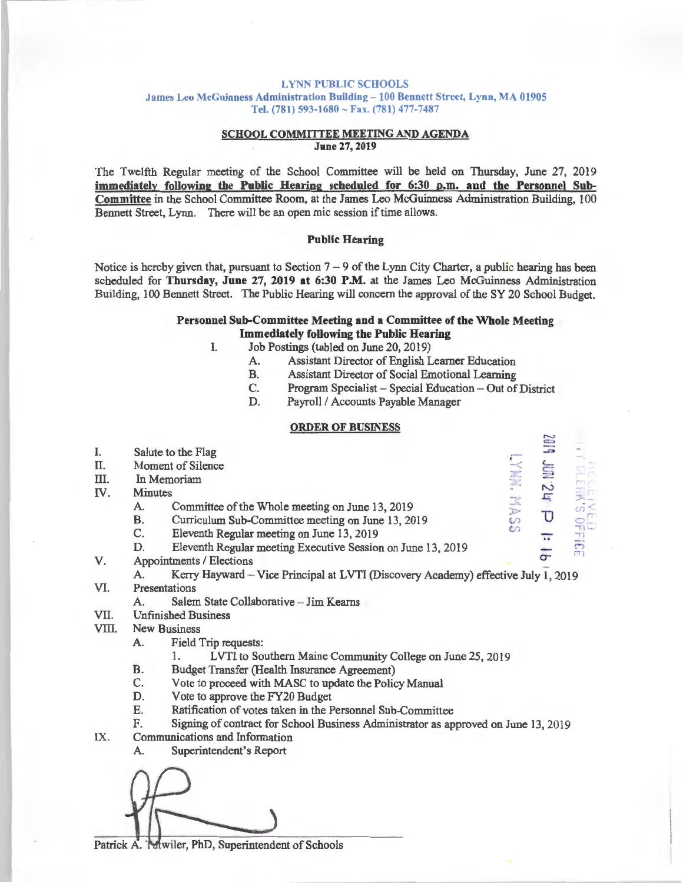#### LYNN PUBLIC SCHOOLS

James Leo McGuinness Administration Building - 100 Bennett Street, Lynn, MA 01905 Tel. (781) 593-1680 ~ Fax. (781) 477-7487

#### SCHOOL COMMITTEE MEETING AND AGENDA June 27, 2019

The Twelfth Regular meeting of the School Committee will be held on Thursday, June 27, 2019 immediately following the Public Hearing scheduled for 6:30 p.m. and the Personnel Subcommittee in the School Committee Room, at the James Leo McGuinness Administration Building, 100 Bennett Street, Lynn. There will be an open mic session if time allows.

## Public Hearing

Notice is hereby given that, pursuant to Section  $7 - 9$  of the Lynn City Charter, a public hearing has been scheduled for Thursday, June 27, 2019 at 6:30 P.M. at the James Leo McGuinness Administration Building, 100 Bennett Street. The Public Hearing will concern the approval of the SY 20 School Budget.

# Personnel Sub-Committee Meeting and a Committee of the Whole Meeting Immediately following the Public Hearing

- I. Job Postings (tabled on June 20, 2019)
	- A. Assistant Director of English Learner Education<br>B. Assistant Director of Social Emotional Learning
	- B. Assistant Director of Social Emotional Learning<br>C. Program Specialist Special Education Out of
	- Program Specialist Special Education Out of District
	- D. Payroll / Accounts Payable Manager

#### ORDER OF BUSINESS

| I.    | Salute to the Flag                                                                       |          | d h <sub>2</sub> Mm SI  |                      |  |
|-------|------------------------------------------------------------------------------------------|----------|-------------------------|----------------------|--|
| Π.    | Moment of Silence                                                                        | IYMW.MAS |                         |                      |  |
| Ш.    | In Memoriam                                                                              |          |                         |                      |  |
| IV.   | <b>Minutes</b>                                                                           |          |                         |                      |  |
|       | Committee of the Whole meeting on June 13, 2019<br>A.                                    |          |                         | 真ってい                 |  |
|       | В.<br>Curriculum Sub-Committee meeting on June 13, 2019                                  |          |                         |                      |  |
|       | C.<br>Eleventh Regular meeting on June 13, 2019                                          |          | $\overline{\mathbf{a}}$ |                      |  |
|       | D.<br>Eleventh Regular meeting Executive Session on June 13, 2019                        |          |                         | <b>EUJ</b><br>GFFIGE |  |
| V.    | Appointments / Elections                                                                 |          |                         |                      |  |
|       | Kerry Hayward - Vice Principal at LVTI (Discovery Academy) effective July 1, 2019<br>A.  |          |                         |                      |  |
| VI.   | Presentations                                                                            |          |                         |                      |  |
|       | Salem State Collaborative - Jim Kearns<br>A.                                             |          |                         |                      |  |
| VII.  | <b>Unfinished Business</b>                                                               |          |                         |                      |  |
| VIII. | <b>New Business</b>                                                                      |          |                         |                      |  |
|       | Field Trip requests:<br>А.                                                               |          |                         |                      |  |
|       | LVTI to Southern Maine Community College on June 25, 2019<br>1.                          |          |                         |                      |  |
|       | Budget Transfer (Health Insurance Agreement)<br>В.                                       |          |                         |                      |  |
|       | C.<br>Vote to proceed with MASC to update the Policy Manual                              |          |                         |                      |  |
|       | Vote to approve the FY20 Budget<br>D.                                                    |          |                         |                      |  |
|       | Е.<br>Ratification of votes taken in the Personnel Sub-Committee                         |          |                         |                      |  |
|       | F.<br>Signing of contract for School Business Administrator as approved on June 13, 2019 |          |                         |                      |  |
| IX.   | Communications and Information                                                           |          |                         |                      |  |
|       | Superintendent's Report<br>A.                                                            |          |                         |                      |  |
|       |                                                                                          |          |                         |                      |  |
|       |                                                                                          |          |                         |                      |  |

Patrick A. Muviler, PhD, Superintendent of Schools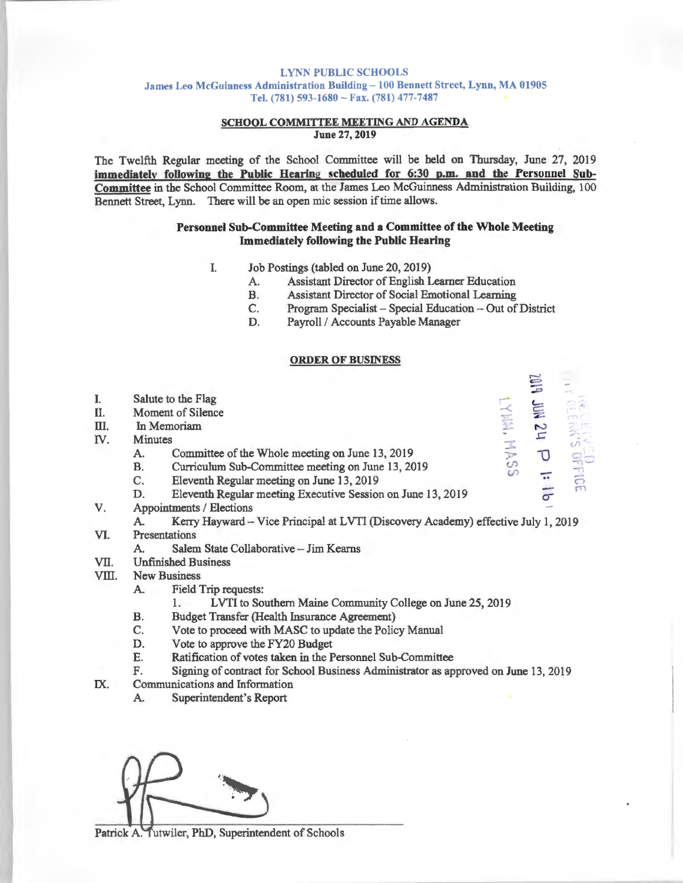#### LYNN PUBLIC SCHOOLS

James Leo McGuinness Administration Building - 100 Bennett Street, Lynn, MA 01905 Tel. (781) 593-1680 - Fax. (781) 477-7487

## SCHOOL COMMITTEE MEETING AND AGENDA June 27, 2019

The Twelfth Regular meeting of the School Committee will be held on Thursday, June 27, 2019 immediatelv following the Public Hearing scheduled for 6:30 p.m. and the Personnel Subcommittee in the School Committee Room, at the James Leo McGuinness Administration Building, 100 Bennett Street, Lynn. There will be an open mic session if time allows.

## Personnel Sub-Committee Meeting and a Committee of the Whole Meeting Immediately following the Public Hearing

- I. Job Postings (tabled on June 20, 2019)
	- A. Assistant Director of English Learner Education
	- B. Assistant Director of Social Emotional Learning
	- C. Program Specialist Special Education -Out of District

ں<br>-:

**LYMM, MASS** 

 $\approx$ 

D. Payroll / Accounts Payable Manager

### ORDER OF BUSINESS

- I. Salute to the Flag
- II. Moment of Silence
- III. In Memoriam
- IV. Minutes
	- A. Committee of the Whole meeting on June 13, 2019
	- B. Curriculum Sub-Committee meeting on June 13, 2019
	- C. Eleventh Regular meeting on June 13, 2019
	- D. Eleventh Regular meeting Executive Session on June 13, 2019
- V. Appointments / Elections

A. Kerry Hayward - Vice Principal at LVTI (Discovery Academy) effective July 1, 2019

- VI. Presentations
	- A. Salem State Collaborative Jim Kearns
- VII. Unfinished Business
- VIII. New Business
	- A. Field Trip requests:
		- 1. LVTI to Southern Maine Community College on June 25, 2019
	- B. Budget Transfer (Health Insurance Agreement)
	- C. Vote to proceed with MASC to update the Policy Manual
	- D. Vote to approve the FY20 Budget
	- E. Ratification of votes taken in the Personnel Sub-Committee
	- F. Signing of contract for School Business Administrator as approved on June 13, 2019
- IX. Communications and Information
	- A. Superintendent's Report



Patrick A. Tutwiler, PhD, Superintendent of Schools